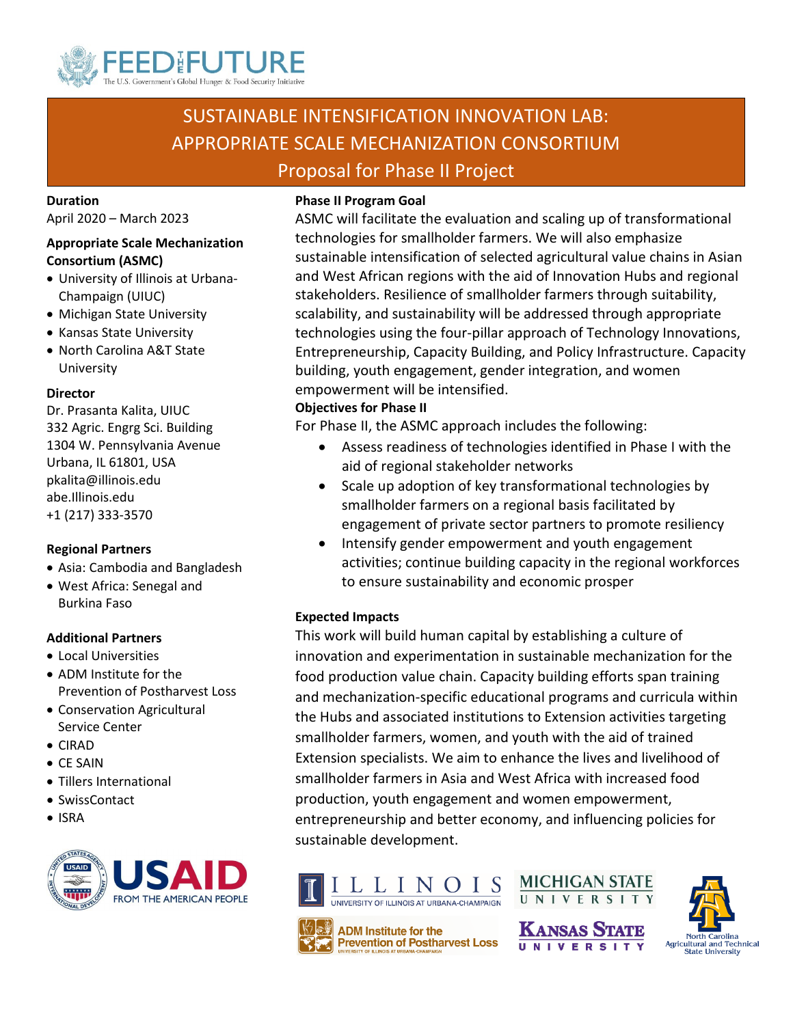

# SUSTAINABLE INTENSIFICATION INNOVATION LAB: APPROPRIATE SCALE MECHANIZATION CONSORTIUM Proposal for Phase II Project

**Duration** April 2020 – March 2023

#### **Appropriate Scale Mechanization Consortium (ASMC)**

- University of Illinois at Urbana-Champaign (UIUC)
- Michigan State University
- Kansas State University
- North Carolina A&T State University

#### **Director**

Dr. Prasanta Kalita, UIUC 332 Agric. Engrg Sci. Building 1304 W. Pennsylvania Avenue Urbana, IL 61801, USA pkalita@illinois.edu abe.Illinois.edu +1 (217) 333-3570

#### **Regional Partners**

- Asia: Cambodia and Bangladesh
- West Africa: Senegal and Burkina Faso

#### **Additional Partners**

- Local Universities
- ADM Institute for the Prevention of Postharvest Loss
- Conservation Agricultural Service Center
- CIRAD
- CE SAIN
- Tillers International
- SwissContact
- ISRA



#### **Phase II Program Goal**

ASMC will facilitate the evaluation and scaling up of transformational technologies for smallholder farmers. We will also emphasize sustainable intensification of selected agricultural value chains in Asian and West African regions with the aid of Innovation Hubs and regional stakeholders. Resilience of smallholder farmers through suitability, scalability, and sustainability will be addressed through appropriate technologies using the four-pillar approach of Technology Innovations, Entrepreneurship, Capacity Building, and Policy Infrastructure. Capacity building, youth engagement, gender integration, and women empowerment will be intensified.

#### **Objectives for Phase II**

For Phase II, the ASMC approach includes the following:

- Assess readiness of technologies identified in Phase I with the aid of regional stakeholder networks
- Scale up adoption of key transformational technologies by smallholder farmers on a regional basis facilitated by engagement of private sector partners to promote resiliency
- Intensify gender empowerment and youth engagement activities; continue building capacity in the regional workforces to ensure sustainability and economic prosper

#### **Expected Impacts**

This work will build human capital by establishing a culture of innovation and experimentation in sustainable mechanization for the food production value chain. Capacity building efforts span training and mechanization-specific educational programs and curricula within the Hubs and associated institutions to Extension activities targeting smallholder farmers, women, and youth with the aid of trained Extension specialists. We aim to enhance the lives and livelihood of smallholder farmers in Asia and West Africa with increased food production, youth engagement and women empowerment, entrepreneurship and better economy, and influencing policies for sustainable development.





**NIVERSIT** 

**MICHIGAN STATE** 

UNIVERSITY